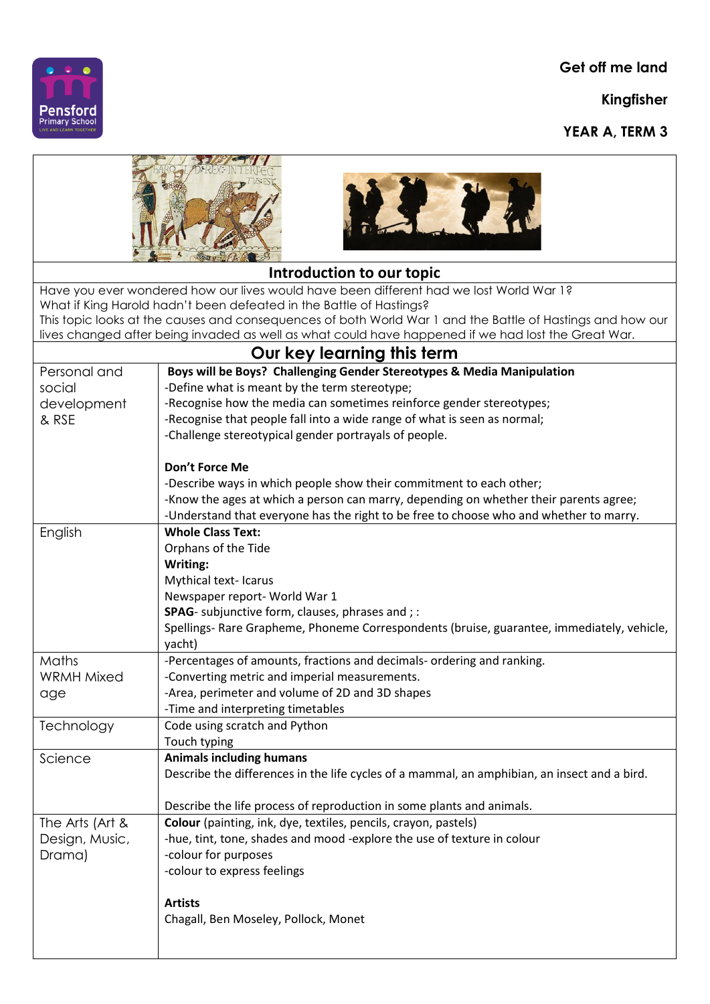**Get off me land**

**Kingfisher**

**YEAR A, TERM 3**



| Introduction to our topic                                                                                                                                                                                                                                                                                                                                                           |                                                                                                                    |  |
|-------------------------------------------------------------------------------------------------------------------------------------------------------------------------------------------------------------------------------------------------------------------------------------------------------------------------------------------------------------------------------------|--------------------------------------------------------------------------------------------------------------------|--|
| Have you ever wondered how our lives would have been different had we lost World War 1?<br>What if King Harold hadn't been defeated in the Battle of Hastings?<br>This topic looks at the causes and consequences of both World War 1 and the Battle of Hastings and how our<br>lives changed after being invaded as well as what could have happened if we had lost the Great War. |                                                                                                                    |  |
| Our key learning this term                                                                                                                                                                                                                                                                                                                                                          |                                                                                                                    |  |
| Personal and                                                                                                                                                                                                                                                                                                                                                                        | Boys will be Boys? Challenging Gender Stereotypes & Media Manipulation                                             |  |
| social                                                                                                                                                                                                                                                                                                                                                                              | -Define what is meant by the term stereotype;                                                                      |  |
| development                                                                                                                                                                                                                                                                                                                                                                         | -Recognise how the media can sometimes reinforce gender stereotypes;                                               |  |
| & RSE                                                                                                                                                                                                                                                                                                                                                                               | -Recognise that people fall into a wide range of what is seen as normal;                                           |  |
|                                                                                                                                                                                                                                                                                                                                                                                     | -Challenge stereotypical gender portrayals of people.                                                              |  |
|                                                                                                                                                                                                                                                                                                                                                                                     |                                                                                                                    |  |
|                                                                                                                                                                                                                                                                                                                                                                                     | Don't Force Me                                                                                                     |  |
|                                                                                                                                                                                                                                                                                                                                                                                     | -Describe ways in which people show their commitment to each other;                                                |  |
|                                                                                                                                                                                                                                                                                                                                                                                     | -Know the ages at which a person can marry, depending on whether their parents agree;                              |  |
|                                                                                                                                                                                                                                                                                                                                                                                     | -Understand that everyone has the right to be free to choose who and whether to marry.<br><b>Whole Class Text:</b> |  |
| English                                                                                                                                                                                                                                                                                                                                                                             |                                                                                                                    |  |
|                                                                                                                                                                                                                                                                                                                                                                                     | Orphans of the Tide                                                                                                |  |
|                                                                                                                                                                                                                                                                                                                                                                                     | Writing:<br>Mythical text- Icarus                                                                                  |  |
|                                                                                                                                                                                                                                                                                                                                                                                     | Newspaper report- World War 1                                                                                      |  |
|                                                                                                                                                                                                                                                                                                                                                                                     | SPAG- subjunctive form, clauses, phrases and ; :                                                                   |  |
|                                                                                                                                                                                                                                                                                                                                                                                     | Spellings- Rare Grapheme, Phoneme Correspondents (bruise, guarantee, immediately, vehicle,                         |  |
|                                                                                                                                                                                                                                                                                                                                                                                     | yacht)                                                                                                             |  |
| <b>Maths</b>                                                                                                                                                                                                                                                                                                                                                                        | -Percentages of amounts, fractions and decimals- ordering and ranking.                                             |  |
| <b>WRMH Mixed</b>                                                                                                                                                                                                                                                                                                                                                                   | -Converting metric and imperial measurements.                                                                      |  |
| age                                                                                                                                                                                                                                                                                                                                                                                 | -Area, perimeter and volume of 2D and 3D shapes                                                                    |  |
|                                                                                                                                                                                                                                                                                                                                                                                     | -Time and interpreting timetables                                                                                  |  |
| Technology                                                                                                                                                                                                                                                                                                                                                                          | Code using scratch and Python                                                                                      |  |
|                                                                                                                                                                                                                                                                                                                                                                                     | Touch typing                                                                                                       |  |
| Science                                                                                                                                                                                                                                                                                                                                                                             | <b>Animals including humans</b>                                                                                    |  |
|                                                                                                                                                                                                                                                                                                                                                                                     | Describe the differences in the life cycles of a mammal, an amphibian, an insect and a bird.                       |  |
|                                                                                                                                                                                                                                                                                                                                                                                     |                                                                                                                    |  |
|                                                                                                                                                                                                                                                                                                                                                                                     | Describe the life process of reproduction in some plants and animals.                                              |  |
| The Arts (Art &                                                                                                                                                                                                                                                                                                                                                                     | Colour (painting, ink, dye, textiles, pencils, crayon, pastels)                                                    |  |
| Design, Music,                                                                                                                                                                                                                                                                                                                                                                      | -hue, tint, tone, shades and mood -explore the use of texture in colour                                            |  |
| Drama)                                                                                                                                                                                                                                                                                                                                                                              | -colour for purposes                                                                                               |  |
|                                                                                                                                                                                                                                                                                                                                                                                     | -colour to express feelings                                                                                        |  |
|                                                                                                                                                                                                                                                                                                                                                                                     |                                                                                                                    |  |
|                                                                                                                                                                                                                                                                                                                                                                                     | <b>Artists</b>                                                                                                     |  |
|                                                                                                                                                                                                                                                                                                                                                                                     | Chagall, Ben Moseley, Pollock, Monet                                                                               |  |
|                                                                                                                                                                                                                                                                                                                                                                                     |                                                                                                                    |  |